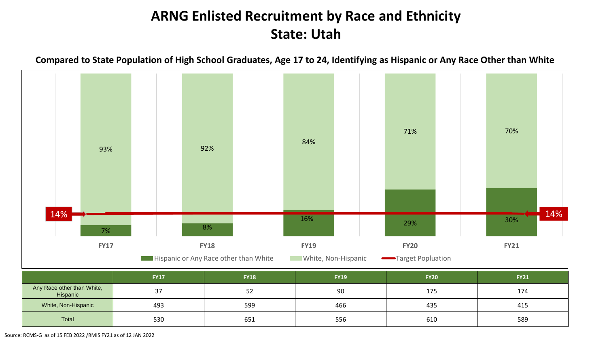# **ARNG Enlisted Recruitment by Race and Ethnicity State: Utah**





Source: RCMS-G as of 15 FEB 2022 /RMIS FY21 as of 12 JAN 2022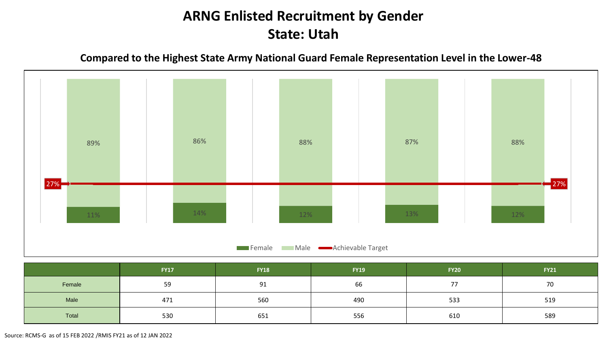### **ARNG Enlisted Recruitment by Gender State: Utah**

**Compared to the Highest State Army National Guard Female Representation Level in the Lower-48**



|        | <b>FY17</b> | <b>FY18</b> | <b>FY19</b> | <b>FY20</b>              | <b>FY21</b> |
|--------|-------------|-------------|-------------|--------------------------|-------------|
| Female | 59          | 91          | 66          | $\overline{\phantom{a}}$ | 70          |
| Male   | 471         | 560         | 490         | 533                      | 519         |
| Total  | 530         | 651         | 556         | 610                      | 589         |

Source: RCMS-G as of 15 FEB 2022 /RMIS FY21 as of 12 JAN 2022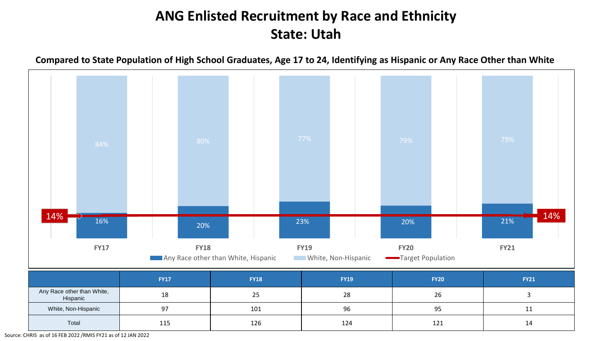# **ANG Enlisted Recruitment by Race and Ethnicity State: Utah**

**Compared to State Population of High School Graduates, Age 17 to 24, Identifying as Hispanic or Any Race Other than White**



|                                        | <b>FY17</b> | <b>FY18</b> | <b>FY19</b> | <b>FY20</b> | <b>FY21</b> |
|----------------------------------------|-------------|-------------|-------------|-------------|-------------|
| Any Race other than White,<br>Hispanic | 18          | 25          | 28          | 26          |             |
| White, Non-Hispanic                    | 97          | 101         | 96          | 95          | <b>. .</b>  |
| Total                                  | 115         | 126         | 124         | 121         | 14          |

Source: CHRIS as of 16 FEB 2022 /RMIS FY21 as of 12 JAN 2022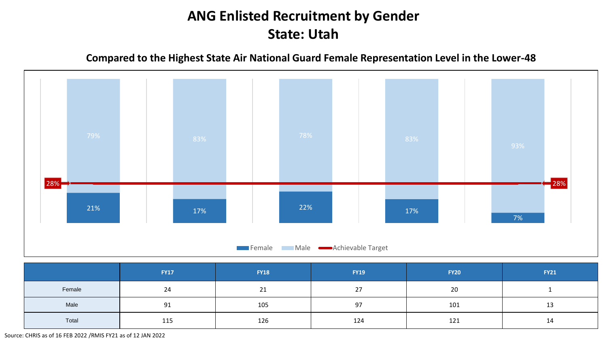# **ANG Enlisted Recruitment by Gender State: Utah**

**Compared to the Highest State Air National Guard Female Representation Level in the Lower-48**



|        | <b>FY17</b> | <b>FY18</b> | <b>FY19</b> | <b>FY20</b> | <b>FY21</b> |
|--------|-------------|-------------|-------------|-------------|-------------|
| Female | 24          | 21          | 27          | 20          |             |
| Male   | 91          | 105         | 97          | 101         | 13          |
| Total  | 115         | 126         | 124         | 121         | 14          |

Source: CHRIS as of 16 FEB 2022 /RMIS FY21 as of 12 JAN 2022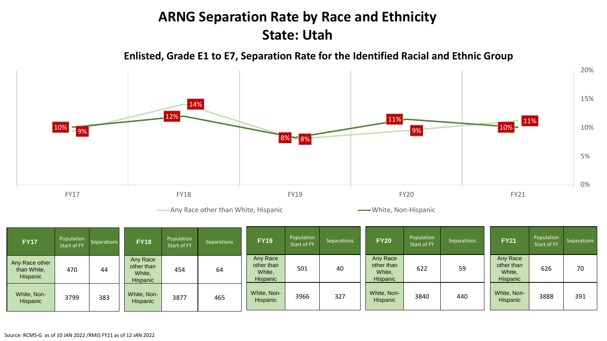### **ARNG Separation Rate by Race and Ethnicity State: Utah**

**Enlisted, Grade E1 to E7, Separation Rate for the Identified Racial and Ethnic Group**



Any Race other than White, Hispanic **White, Any Race other than White, Non-Hispanic** 

| <b>FY17</b>                               | Population<br>Start of FY | <b>Separations</b> | <b>FY18</b>                                  | Population<br>Start of FY | Separations | <b>FY19</b>                                         | Population<br>Start of FY | <b>Separations</b> | <b>FY20</b>                                  | Population<br>Start of FY | <b>Separations</b> | <b>FY21</b>                                  | Population<br>Start of FY | Separations |
|-------------------------------------------|---------------------------|--------------------|----------------------------------------------|---------------------------|-------------|-----------------------------------------------------|---------------------------|--------------------|----------------------------------------------|---------------------------|--------------------|----------------------------------------------|---------------------------|-------------|
| Any Race other<br>than White,<br>Hispanic | 470                       | 44                 | Any Race<br>other than<br>White,<br>Hispanic | 454                       | 64          | Any Race<br>other than<br>White,<br><b>Hispanic</b> | 501                       | 40                 | Any Race<br>other than<br>White,<br>Hispanic | 622                       | 59                 | Any Race<br>other than<br>White,<br>Hispanic | 626                       | 70          |
| White, Non-<br>Hispanic                   | 3799                      | 383                | White, Non-<br><b>Hispanic</b>               | 3877                      | 465         | White, Non-<br><b>Hispanic</b>                      | 3966                      | 327                | White, Non-<br>Hispanic                      | 3840                      | 440                | White, Non-<br>Hispanic                      | 3888                      | 391         |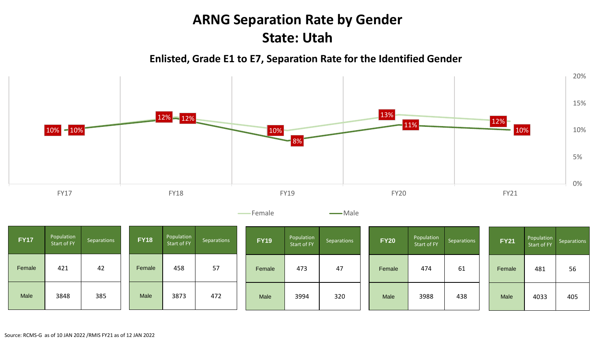### **ARNG Separation Rate by Gender State: Utah**

**Enlisted, Grade E1 to E7, Separation Rate for the Identified Gender**



| <b>FY17</b> | Population<br>Start of FY | Separations | <b>FY18</b> | Population<br>Start of FY | Separations | <b>FY19</b> | Population<br>Start of FY | Separations | <b>FY20</b> | Population<br>Start of FY | Separations | <b>FY21</b> | Population<br>Start of FY | Separations |
|-------------|---------------------------|-------------|-------------|---------------------------|-------------|-------------|---------------------------|-------------|-------------|---------------------------|-------------|-------------|---------------------------|-------------|
| Female      | 421                       | 42          | Female      | 458                       | 57          | Female      | 473                       | 47          | Female      | 474                       | 61          | Female      | 481                       | 56          |
| Male        | 3848                      | 385         | Male        | 3873                      | 472         | Male        | 3994                      | 320         | Male        | 3988                      | 438         | Male        | 4033                      | 405         |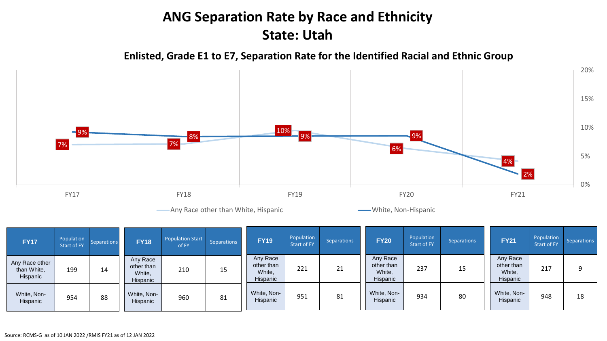### **ANG Separation Rate by Race and Ethnicity State: Utah**

**Enlisted, Grade E1 to E7, Separation Rate for the Identified Racial and Ethnic Group**



Any Race other than White, Hispanic **White, Any Race other than White, Hispanic** 

| <b>FY17</b>                               | Population<br>Start of FY | <b>Separations</b> | <b>FY18</b>                                  | <b>Population Start</b><br>of FY | <b>Separations</b> | <b>FY19</b>                                  | Population<br>Start of FY | <b>Separations</b> | <b>FY20</b>                                  | Population<br>Start of FY | <b>Separations</b> | <b>FY21</b>                                  | Population<br><b>Start of FY</b> | Separations |
|-------------------------------------------|---------------------------|--------------------|----------------------------------------------|----------------------------------|--------------------|----------------------------------------------|---------------------------|--------------------|----------------------------------------------|---------------------------|--------------------|----------------------------------------------|----------------------------------|-------------|
| Any Race other<br>than White,<br>Hispanic | 199                       | 14                 | Any Race<br>other than<br>White,<br>Hispanic | 210                              | 15                 | Any Race<br>other than<br>White,<br>Hispanic | 221                       | 21                 | Any Race<br>other than<br>White,<br>Hispanic | 237                       | 15                 | Any Race<br>other than<br>White,<br>Hispanic | 217                              |             |
| White, Non-<br>Hispanic                   | 954                       | 88                 | White, Non-<br>Hispanic                      | 960                              | 81                 | White, Non-<br>Hispanic                      | 951                       | 81                 | White, Non-<br>Hispanic                      | 934                       | 80                 | White, Non-<br>Hispanic                      | 948                              | 18          |